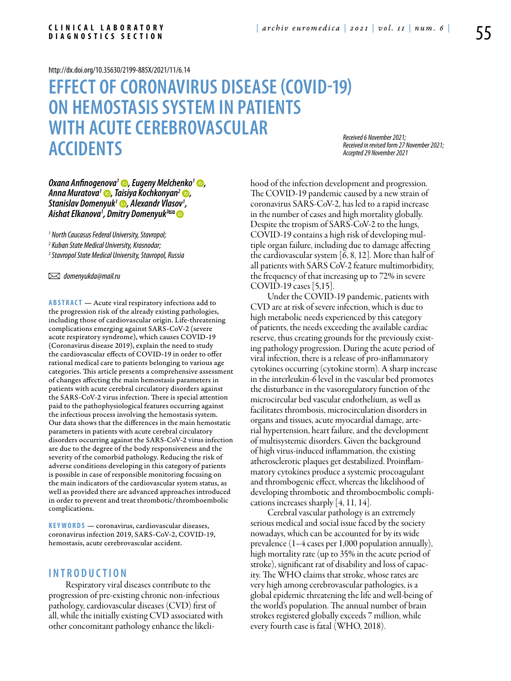#### <http://dx.doi.org/10.35630/2199-885X/2021/11/6.14>

## **EFFECT OF CORONAVIRUS DISEASE (COVID-19) ON HEMOSTASIS SYSTEM IN PATIENTS WITH ACUTE CEREBROVASCULAR ACCIDENTS**

*Received 6 November 2021; Received in revised form 27 November 2021; Accepted 29 November 2021*

# *[Oxana Anfinogenova](https://orcid.org/0000-0001-6629-5647)1 , [Eugeny Melchenko](https://orcid.org/0000-0001-7607-1719)1 , [Anna Muratova1](https://orcid.org/0000-0001-7213-679X) , Taisiya Kochkonyan2 , [Stanislav Domenyuk](https://orcid.org/0000-0001-5239-4601)1 , Alexandr Vlasov1 , Aishat Elkanova1 , Dmitry Domenyuk3*

*1 North Caucasus Federal University, Stavropol;* 

*2 Kuban State Medical University, Krasnodar;* 

*3 Stavropol State Medical University, Stavropol, Russia* 

 *domenyukda@mail.ru* 

**ABSTRACT** — Acute viral respiratory infections add to the progression risk of the already existing pathologies, including those of cardiovascular origin. Life-threatening complications emerging against SARS-CoV-2 (severe acute respiratory syndrome), which causes COVID-19 (Coronavirus disease 2019), explain the need to study the cardiovascular effects of COVID-19 in order to offer rational medical care to patients belonging to various age categories. This article presents a comprehensive assessment of changes affecting the main hemostasis parameters in patients with acute cerebral circulatory disorders against the SARS-CoV-2 virus infection. There is special attention paid to the pathophysiological features occurring against the infectious process involving the hemostasis system. Our data shows that the differences in the main hemostatic parameters in patients with acute cerebral circulatory disorders occurring against the SARS-CoV-2 virus infection are due to the degree of the body responsiveness and the severity of the comorbid pathology. Reducing the risk of adverse conditions developing in this category of patients is possible in case of responsible monitoring focusing on the main indicators of the cardiovascular system status, as well as provided there are advanced approaches introduced in order to prevent and treat thrombotic/thromboembolic complications.

KEYWORDS — coronavirus, cardiovascular diseases, coronavirus infection 2019, SARS-CoV-2, COVID-19, hemostasis, acute cerebrovascular accident.

## **I n t r o d uct i o n**

Respiratory viral diseases contribute to the progression of pre-existing chronic non-infectious pathology, cardiovascular diseases (CVD) first of all, while the initially existing CVD associated with other concomitant pathology enhance the likelihood of the infection development and progression. The COVID-19 pandemic caused by a new strain of coronavirus SARS-CoV-2, has led to a rapid increase in the number of cases and high mortality globally. Despite the tropism of SARS-CoV-2 to the lungs, COVID-19 contains a high risk of developing multiple organ failure, including due to damage affecting the cardiovascular system [6, 8, 12]. More than half of all patients with SARS CoV-2 feature multimorbidity, the frequency of that increasing up to 72% in severe COVID-19 cases [5,15].

Under the COVID-19 pandemic, patients with CVD are at risk of severe infection, which is due to high metabolic needs experienced by this category of patients, the needs exceeding the available cardiac reserve, thus creating grounds for the previously existing pathology progression. During the acute period of viral infection, there is a release of pro-inflammatory cytokines occurring (cytokine storm). A sharp increase in the interleukin-6 level in the vascular bed promotes the disturbance in the vasoregulatory function of the microcircular bed vascular endothelium, as well as facilitates thrombosis, microcirculation disorders in organs and tissues, acute myocardial damage, arterial hypertension, heart failure, and the development of multisystemic disorders. Given the background of high virus-induced inflammation, the existing atherosclerotic plaques get destabilized. Proinflammatory cytokines produce a systemic procoagulant and thrombogenic effect, whereas the likelihood of developing thrombotic and thromboembolic complications increases sharply [4, 11, 14].

Cerebral vascular pathology is an extremely serious medical and social issue faced by the society nowadays, which can be accounted for by its wide prevalence (1–4 cases per 1,000 population annually), high mortality rate (up to 35% in the acute period of stroke), significant rat of disability and loss of capacity. The WHO claims that stroke, whose rates are very high among cerebrovascular pathologies, is a global epidemic threatening the life and well-being of the world's population. The annual number of brain strokes registered globally exceeds 7 million, while every fourth case is fatal (WHO, 2018).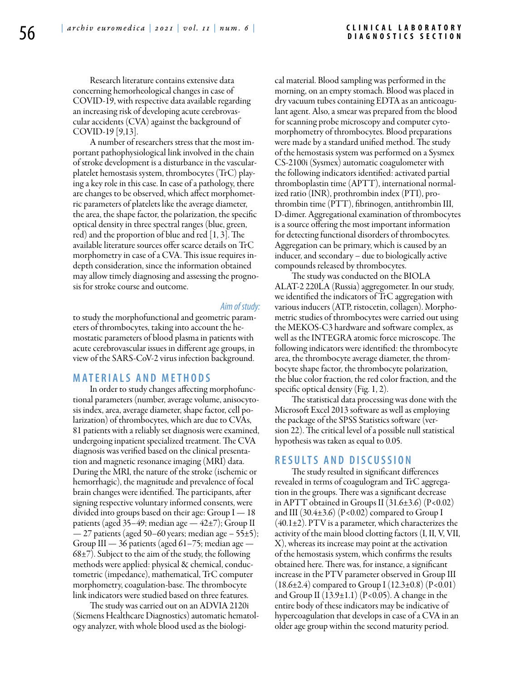Research literature contains extensive data concerning hemorheological changes in case of COVID-19, with respective data available regarding an increasing risk of developing acute cerebrovascular accidents (CVA) against the background of COVID-19 [9,13].

A number of researchers stress that the most important pathophysiological link involved in the chain of stroke development is a disturbance in the vascularplatelet hemostasis system, thrombocytes (TrC) playing a key role in this case. In case of a pathology, there are changes to be observed, which affect morphometric parameters of platelets like the average diameter, the area, the shape factor, the polarization, the specific optical density in three spectral ranges (blue, green, red) and the proportion of blue and red [1, 3]. The available literature sources offer scarce details on TrC morphometry in case of a CVA. This issue requires indepth consideration, since the information obtained may allow timely diagnosing and assessing the prognosis for stroke course and outcome.

### *Aim of study:*

to study the morphofunctional and geometric parameters of thrombocytes, taking into account the hemostatic parameters of blood plasma in patients with acute cerebrovascular issues in different age groups, in view of the SARS-CoV-2 virus infection background.

## **MATERIALS AND MET H ODS**

In order to study changes affecting morphofunctional parameters (number, average volume, anisocytosis index, area, average diameter, shape factor, cell polarization) of thrombocytes, which are due to CVAs, 81 patients with a reliably set diagnosis were examined, undergoing inpatient specialized treatment. The CVA diagnosis was verified based on the clinical presentation and magnetic resonance imaging (MRI) data. During the MRI, the nature of the stroke (ischemic or hemorrhagic), the magnitude and prevalence of focal brain changes were identified. The participants, after signing respective voluntary informed consents, were divided into groups based on their age: Group  $I - 18$ patients (aged 35–49; median age  $-42\pm7$ ); Group II — 27 patients (aged 50–60 years; median age – 55±5); Group III — 36 patients (aged 61–75; median age —  $68±7$ ). Subject to the aim of the study, the following methods were applied: physical & chemical, conductometric (impedance), mathematical, TrC computer morphometry, coagulation-base. The thrombocyte link indicators were studied based on three features.

The study was carried out on an ADVIA 2120i (Siemens Healthcare Diagnostics) automatic hematology analyzer, with whole blood used as the biological material. Blood sampling was performed in the morning, on an empty stomach. Blood was placed in dry vacuum tubes containing EDTA as an anticoagulant agent. Also, a smear was prepared from the blood for scanning probe microscopy and computer cytomorphometry of thrombocytes. Blood preparations were made by a standard unified method. The study of the hemostasis system was performed on a Sysmex CS-2100i (Sysmex) automatic coagulometer with the following indicators identified: activated partial thromboplastin time (APTT), international normalized ratio (INR), prothrombin index (PTI), prothrombin time (PTT), fibrinogen, antithrombin III, D-dimer. Aggregational examination of thrombocytes is a source offering the most important information for detecting functional disorders of thrombocytes. Aggregation can be primary, which is caused by an inducer, and secondary – due to biologically active compounds released by thrombocytes.

The study was conducted on the BIOLA ALAT-2 220LA (Russia) aggregometer. In our study, we identified the indicators of TrC aggregation with various inducers (ATP, ristocetin, collagen). Morphometric studies of thrombocytes were carried out using the MEKOS-C3 hardware and software complex, as well as the INTEGRA atomic force microscope. The following indicators were identified: the thrombocyte area, the thrombocyte average diameter, the thrombocyte shape factor, the thrombocyte polarization, the blue color fraction, the red color fraction, and the specific optical density (Fig. 1, 2).

The statistical data processing was done with the Microsoft Excel 2013 software as well as employing the package of the SPSS Statistics software (version 22). The critical level of a possible null statistical hypothesis was taken as equal to 0.05.

### **RES U LTS AND DISC U SSION**

The study resulted in significant differences revealed in terms of coagulogram and TrC aggregation in the groups. There was a significant decrease in APTT obtained in Groups II  $(31.6\pm3.6)$   $(P<0.02)$ and III  $(30.4\pm3.6)$   $(P<0.02)$  compared to Group I  $(40.1\pm2)$ . PTV is a parameter, which characterizes the activity of the main blood clotting factors (I, II, V, VII, X), whereas its increase may point at the activation of the hemostasis system, which confirms the results obtained here. There was, for instance, a significant increase in the PTV parameter observed in Group III  $(18.6\pm2.4)$  compared to Group I  $(12.3\pm0.8)$   $(P<0.01)$ and Group II  $(13.9\pm1.1)$   $(P<0.05)$ . A change in the entire body of these indicators may be indicative of hypercoagulation that develops in case of a CVA in an older age group within the second maturity period.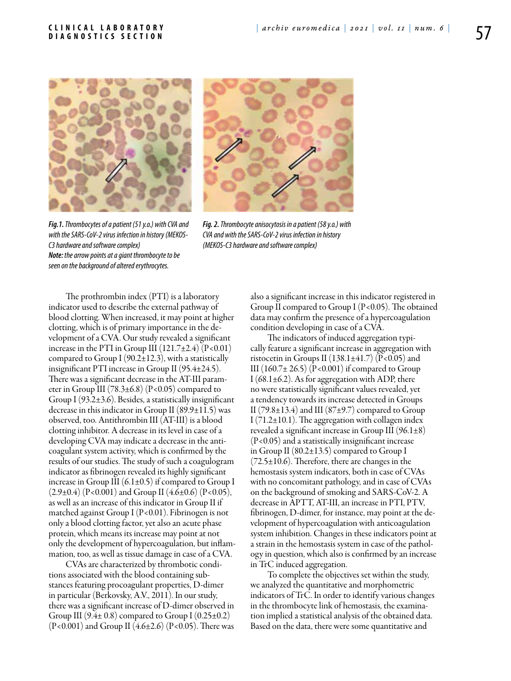



*Fig.1. Thrombocytes of a patient (51 y.o.) with CVA and with the SARS-CoV-2 virus infection in history (MEKOS-C3 hardware and software complex) Note: the arrow points at a giant thrombocyte to be seen on the background of altered erythrocytes.*

*Fig. 2. Thrombocyte anisocytosis in a patient (58 y.o.) with CVA and with the SARS-CoV-2 virus infection in history (MEKOS-C3 hardware and software complex)*

The prothrombin index (PTI) is a laboratory indicator used to describe the external pathway of blood clotting. When increased, it may point at higher clotting, which is of primary importance in the development of a CVA. Our study revealed a significant increase in the PTI in Group III  $(121.7\pm2.4)$   $(P<0.01)$ compared to Group I ( $90.2 \pm 12.3$ ), with a statistically insignificant PTI increase in Group II (95.4±24.5). There was a significant decrease in the AT-III parameter in Group III (78.3 $\pm$ 6.8) (P<0.05) compared to Group I (93.2±3.6). Besides, a statistically insignificant decrease in this indicator in Group II  $(89.9\pm11.5)$  was observed, too. Antithrombin III (AT-III) is a blood clotting inhibitor. A decrease in its level in case of a developing CVA may indicate a decrease in the anticoagulant system activity, which is confirmed by the results of our studies. The study of such a coagulogram indicator as fibrinogen revealed its highly significant increase in Group III  $(6.1\pm0.5)$  if compared to Group I  $(2.9\pm0.4)$  (P<0.001) and Group II (4.6±0.6) (P<0.05), as well as an increase of this indicator in Group II if matched against Group I (P<0.01). Fibrinogen is not only a blood clotting factor, yet also an acute phase protein, which means its increase may point at not only the development of hypercoagulation, but inflammation, too, as well as tissue damage in case of a CVA.

CVAs are characterized by thrombotic conditions associated with the blood containing substances featuring procoagulant properties, D-dimer in particular (Berkovsky, A.V., 2011). In our study, there was a significant increase of D-dimer observed in Group III  $(9.4 \pm 0.8)$  compared to Group I  $(0.25 \pm 0.2)$  $(P<0.001)$  and Group II  $(4.6\pm2.6)$   $(P<0.05)$ . There was also a significant increase in this indicator registered in Group II compared to Group I  $(P<0.05)$ . The obtained data may confirm the presence of a hypercoagulation condition developing in case of a CVA.

The indicators of induced aggregation typically feature a significant increase in aggregation with ristocetin in Groups II (138.1 $\pm$ 41.7) (P<0.05) and III  $(160.7 \pm 26.5)$  (P<0.001) if compared to Group I (68.1 $\pm$ 6.2). As for aggregation with ADP, there no were statistically significant values revealed, yet a tendency towards its increase detected in Groups II (79.8 $\pm$ 13.4) and III (87 $\pm$ 9.7) compared to Group I  $(71.2 \pm 10.1)$ . The aggregation with collagen index revealed a significant increase in Group III (96.1±8) (P<0.05) and a statistically insignificant increase in Group II (80.2±13.5) compared to Group I  $(72.5\pm10.6)$ . Therefore, there are changes in the hemostasis system indicators, both in case of CVAs with no concomitant pathology, and in case of CVAs on the background of smoking and SARS-CoV-2. A decrease in APTT, AT-III, an increase in PTI, PTV, fibrinogen, D-dimer, for instance, may point at the development of hypercoagulation with anticoagulation system inhibition. Changes in these indicators point at a strain in the hemostasis system in case of the pathology in question, which also is confirmed by an increase in TrC induced aggregation.

To complete the objectives set within the study, we analyzed the quantitative and morphometric indicators of TrC. In order to identify various changes in the thrombocyte link of hemostasis, the examination implied a statistical analysis of the obtained data. Based on the data, there were some quantitative and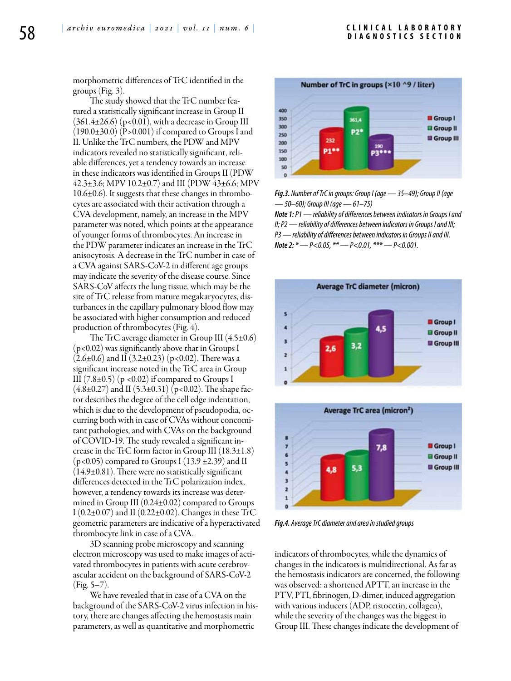morphometric differences of TrC identified in the groups (Fig. 3).

The study showed that the TrC number featured a statistically significant increase in Group II  $(361.4\pm26.6)$  (p<0.01), with a decrease in Group III  $(190.0\pm30.0)$   $(P>0.001)$  if compared to Groups I and II. Unlike the TrC numbers, the PDW and MPV indicators revealed no statistically significant, reliable differences, yet a tendency towards an increase in these indicators was identified in Groups II (PDW 42.3±3.6; MPV 10.2±0.7) and III (PDW 43±6.6; MPV 10.6±0.6). It suggests that these changes in thrombocytes are associated with their activation through a CVA development, namely, an increase in the MPV parameter was noted, which points at the appearance of younger forms of thrombocytes. An increase in the PDW parameter indicates an increase in the TrC anisocytosis. A decrease in the TrC number in case of a CVA against SARS-CoV-2 in different age groups may indicate the severity of the disease course. Since SARS-CoV affects the lung tissue, which may be the site of TrC release from mature megakaryocytes, disturbances in the capillary pulmonary blood flow may be associated with higher consumption and reduced production of thrombocytes (Fig. 4).

The TrC average diameter in Group III  $(4.5\pm0.6)$ (p<0.02) was significantly above that in Groups I  $(2.6\pm0.6)$  and II  $(3.2\pm0.23)$  (p<0.02). There was a significant increase noted in the TrC area in Group III  $(7.8\pm0.5)$  (p <0.02) if compared to Groups I  $(4.8\pm0.27)$  and II  $(5.3\pm0.31)$  (p<0.02). The shape factor describes the degree of the cell edge indentation, which is due to the development of pseudopodia, occurring both with in case of CVAs without concomitant pathologies, and with CVAs on the background of COVID-19. The study revealed a significant increase in the TrC form factor in Group III  $(18.3\pm1.8)$  $(p<0.05)$  compared to Groups I  $(13.9 \pm 2.39)$  and II (14.9±0.81). There were no statistically significant differences detected in the TrC polarization index, however, a tendency towards its increase was determined in Group III (0.24±0.02) compared to Groups I (0.2 $\pm$ 0.07) and II (0.22 $\pm$ 0.02). Changes in these TrC geometric parameters are indicative of a hyperactivated thrombocyte link in case of a CVA.

3D scanning probe microscopy and scanning electron microscopy was used to make images of activated thrombocytes in patients with acute cerebrovascular accident on the background of SARS-CoV-2 (Fig. 5–7).

We have revealed that in case of a CVA on the background of the SARS-CoV-2 virus infection in history, there are changes affecting the hemostasis main parameters, as well as quantitative and morphometric



*Fig.3. Number of TrC in groups: Group I (age — 35–49); Group II (age — 50–60); Group III (age — 61–75)*

*Note 1: P1 — reliability of differences between indicators in Groups I and II; P2 — reliability of differences between indicators in Groups I and III; P3 — reliability of differences between indicators in Groups II and III. Note 2: \* — P<0.05, \*\* — P<0.01, \*\*\* — P<0.001.*





*Fig.4. Average TrC diameter and area in studied groups*

indicators of thrombocytes, while the dynamics of changes in the indicators is multidirectional. As far as the hemostasis indicators are concerned, the following was observed: a shortened APTT, an increase in the PTV, PTI, fibrinogen, D-dimer, induced aggregation with various inducers (ADP, ristocetin, collagen), while the severity of the changes was the biggest in Group III. These changes indicate the development of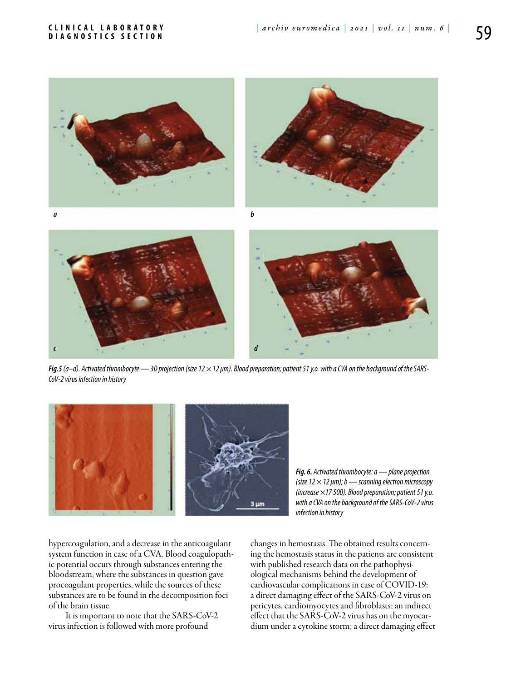

*Fig.5 (а–d). Activated thrombocyte — 3D projection (size 12 × 12 μm). Blood preparation; patient 51 y.o. with a CVA on the background of the SARS-CoV-2 virus infection in history*



*Fig. 6. Activated thrombocyte: а — plane projection (size 12 × 12 μm); b — scanning electron microscopy (increase ×17 500). Blood preparation; patient 51 y.o. with a CVA on the background of the SARS-CoV-2 virus infection in history*

hypercoagulation, and a decrease in the anticoagulant system function in case of a CVA. Blood coagulopathic potential occurs through substances entering the bloodstream, where the substances in question gave procoagulant properties, while the sources of these substances are to be found in the decomposition foci of the brain tissue.

It is important to note that the SARS-CoV-2 virus infection is followed with more profound

changes in hemostasis. The obtained results concerning the hemostasis status in the patients are consistent with published research data on the pathophysiological mechanisms behind the development of cardiovascular complications in case of COVID-19: a direct damaging effect of the SARS-CoV-2 virus on pericytes, cardiomyocytes and fibroblasts; an indirect effect that the SARS-CoV-2 virus has on the myocardium under a cytokine storm; a direct damaging effect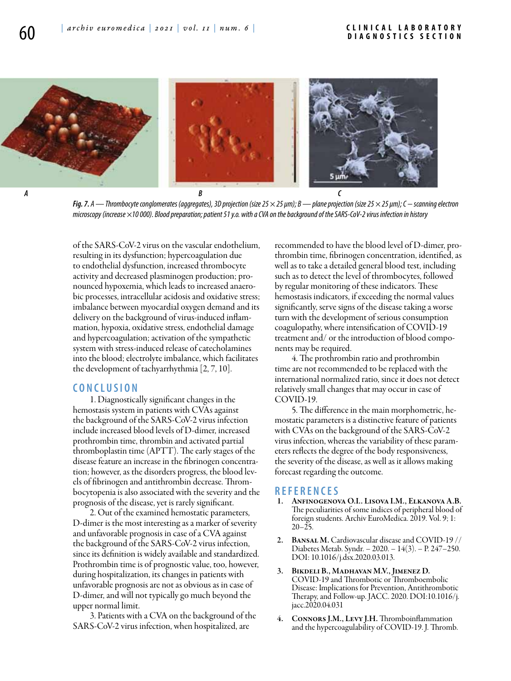

*Fig. 7. А — Thrombocyte conglomerates (aggregates), 3D projection (size 25 × 25 μm); В — plane projection (size 25 × 25 μm); С − scanning electron microscopy (increase ×10 000). Blood preparation; patient 51 y.o. with a CVA on the background of the SARS-CoV-2 virus infection in history*

of the SARS-CoV-2 virus on the vascular endothelium, resulting in its dysfunction; hypercoagulation due to endothelial dysfunction, increased thrombocyte activity and decreased plasminogen production; pronounced hypoxemia, which leads to increased anaerobic processes, intracellular acidosis and oxidative stress; imbalance between myocardial oxygen demand and its delivery on the background of virus-induced inflammation, hypoxia, oxidative stress, endothelial damage and hypercoagulation; activation of the sympathetic system with stress-induced release of catecholamines into the blood; electrolyte imbalance, which facilitates the development of tachyarrhythmia [2, 7, 10].

## **C ON CL U SION**

1. Diagnostically significant changes in the hemostasis system in patients with CVAs against the background of the SARS-CoV-2 virus infection include increased blood levels of D-dimer, increased prothrombin time, thrombin and activated partial thromboplastin time (APTT). The early stages of the disease feature an increase in the fibrinogen concentration; however, as the disorders progress, the blood levels of fibrinogen and antithrombin decrease. Thrombocytopenia is also associated with the severity and the prognosis of the disease, yet is rarely significant.

2. Out of the examined hemostatic parameters, D-dimer is the most interesting as a marker of severity and unfavorable prognosis in case of a CVA against the background of the SARS-CoV-2 virus infection, since its definition is widely available and standardized. Prothrombin time is of prognostic value, too, however, during hospitalization, its changes in patients with unfavorable prognosis are not as obvious as in case of D-dimer, and will not typically go much beyond the upper normal limit.

3. Patients with a CVA on the background of the SARS-CoV-2 virus infection, when hospitalized, are

recommended to have the blood level of D-dimer, prothrombin time, fibrinogen concentration, identified, as well as to take a detailed general blood test, including such as to detect the level of thrombocytes, followed by regular monitoring of these indicators. These hemostasis indicators, if exceeding the normal values significantly, serve signs of the disease taking a worse turn with the development of serious consumption coagulopathy, where intensification of COVID-19 treatment and/ or the introduction of blood components may be required.

4. The prothrombin ratio and prothrombin time are not recommended to be replaced with the international normalized ratio, since it does not detect relatively small changes that may occur in case of COVID-19.

5. The difference in the main morphometric, hemostatic parameters is a distinctive feature of patients with CVAs on the background of the SARS-CoV-2 virus infection, whereas the variability of these parameters reflects the degree of the body responsiveness, the severity of the disease, as well as it allows making forecast regarding the outcome.

### **REFEREN CES**

- 1. Anfinogenova O.I.. Lisova I.M., Elkanova A.B. The peculiarities of some indices of peripheral blood of foreign students. Archiv EuroMedica. 2019. Vol. 9; 1:  $20 - 25.$
- 2. BANSAL M. Cardiovascular disease and COVID-19 // Diabetes Metab. Syndr. – 2020. – 14(3). – P. 247–250. DOI: 10.1016/j.dsx.2020.03.013.
- BIKDELI B., MADHAVAN M.V., JIMENEZ D. COVID-19 and Thrombotic or Thromboembolic Disease: Implications for Prevention, Antithrombotic Therapy, and Follow-up. JACC. 2020. DOI:10.1016/j. jacc.2020.04.031
- 4. Connors J.M., Levy J.H. Thromboinflammation and the hypercoagulability of COVID-19. J. Thromb.